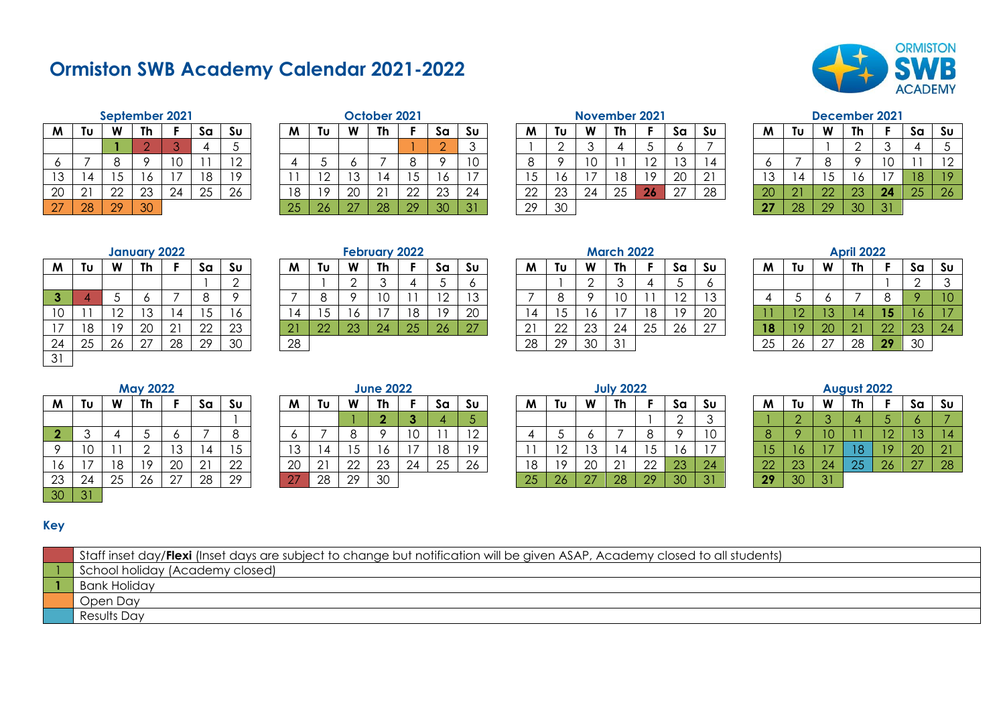# **Ormiston SWB Academy Calendar 2021-2022**



|    |    |    | September 2021 |    |    |                |
|----|----|----|----------------|----|----|----------------|
| M  | Tυ | W  | Th             | F  | Sa | S <sub>U</sub> |
|    |    |    | 2              | 3  |    | 5              |
| 6  |    | 8  | 9              | 10 |    | 12             |
| 13 | 14 | 15 | 16             | 17 | 18 | 19             |
| 20 | 21 | 22 | 23             | 24 | 25 | 26             |
| 27 | 28 | 29 | 30             |    |    |                |

|    |    |    | October 2021 |    |    |    |
|----|----|----|--------------|----|----|----|
| M  | Tυ | W  | Th           | F  | Sa | Sυ |
|    |    |    |              |    | ۰. | 3  |
| 4  | 5  | 6  |              | 8  | 9  | 10 |
|    | 12 | 13 | 14           | 15 | 16 |    |
| 18 | 19 | 20 | 21           | 22 | 23 | 24 |
| 25 | 26 | 27 | 28           | 29 | 30 | 31 |

# **September 2021 October 2021 November 2021 December 2021**

| M  | Tu            | W        | Th       |    | Sa  | Su                       | M        | Τu  | W  | Th                      |              | Sa     | Su       | M        | Τυ | W  | <b>Th</b> |                | Sα        | Sυ | M       | Tu         | W  | Th |    | Sa | Sυ                    |
|----|---------------|----------|----------|----|-----|--------------------------|----------|-----|----|-------------------------|--------------|--------|----------|----------|----|----|-----------|----------------|-----------|----|---------|------------|----|----|----|----|-----------------------|
|    |               |          |          |    |     |                          |          |     |    |                         |              | $\cap$ |          |          |    |    |           |                |           |    |         |            |    |    |    |    |                       |
|    |               |          |          |    |     | $\overline{\phantom{0}}$ |          |     |    |                         |              |        | $1 \cap$ |          |    |    |           |                | 12<br>ت ا |    |         |            |    |    | 10 |    | $\overline{1}$ $\cap$ |
| 13 |               | ◡        | ັບ       |    | 1 O | 10                       |          | ר ו | າລ |                         |              |        |          |          |    |    | 1 O       | 1 <sup>c</sup> | 20        |    | າລ<br>◡ |            |    |    |    | 18 |                       |
| 20 | $\cap$ .<br>∸ | ററ<br>∠∠ | ററ<br>∠◡ | 24 | 25  | 26                       | 1 R<br>◡ | 10  | 20 | $\bigcap$ 1<br><u>_</u> | $\cap$<br>∸∸ | 23     | 24       | ററ<br>∠∠ | 23 | 24 | 25        | -26            | 27        | 28 | 20      | $\Omega$ 1 | 22 | 23 | 24 | 25 | 26                    |
| 27 | 28            | 29       | 30       |    |     |                          | 25       | -26 | 27 | 28                      | 29           | 30     | 31       | 29       | 30 |    |           |                |           |    | 27      | 28         | 29 | 30 | 31 |    |                       |

| W  | Tυ | W  | Th | F  | Sa | Su |
|----|----|----|----|----|----|----|
|    |    |    | 2  | 3  | 4  | 5  |
| 6  |    | 8  | 9  | 10 |    | 12 |
| 13 | 14 | 15 | 16 |    | 18 | 19 |
| 20 | 21 | 22 | 23 | 24 | 25 | 26 |
| 27 | 28 | 29 | 30 | 31 |    |    |

|                         |    |    | <b>January 2022</b> |    |    |                |
|-------------------------|----|----|---------------------|----|----|----------------|
| M                       | Tυ | W  | Th                  | F  | Sa | Su             |
|                         |    |    |                     |    |    | $\overline{2}$ |
| $\overline{\mathbf{3}}$ |    | 5  | 6                   |    | 8  |                |
| 10                      | 11 | 12 | 13                  | 14 | 15 | 16             |
| 17                      | 18 | 19 | 20                  | 21 | 22 | 23             |
| 24                      | 25 | 26 | 27                  | 28 | 29 | 30             |
| 31                      |    |    |                     |    |    |                |

## **February 2022**

| M           | Tu | W                        | Th          |    | Sa           | Su     | M  | Τυ     | W        | Th                       |    | Sa              | Su          | M             | Τυ | W        | <b>Th</b>    |    | Sα             | Sυ                       | M  | Tu      | W  | Th            |           | Sa       | Sυ |
|-------------|----|--------------------------|-------------|----|--------------|--------|----|--------|----------|--------------------------|----|-----------------|-------------|---------------|----|----------|--------------|----|----------------|--------------------------|----|---------|----|---------------|-----------|----------|----|
|             |    |                          |             |    |              | $\sim$ |    |        |          |                          |    |                 |             |               |    | ⌒        |              |    |                |                          |    |         |    |               |           |          |    |
| 3.          |    |                          |             |    |              |        |    |        |          |                          |    | $\overline{10}$ | $1^{\circ}$ |               |    |          |              |    | $\overline{1}$ | $\overline{\phantom{a}}$ |    |         |    |               |           |          |    |
| $\sim$<br>◡ |    | $\overline{\phantom{0}}$ | າ ລ<br>◡    |    |              | I O    |    |        | O        | $\overline{\phantom{a}}$ | 18 | 1 Q             | 20          |               |    |          |              |    | 10             | 20                       |    | z.      |    |               | 1 E<br>ıэ | 16       |    |
| —           | 18 | 10                       | 20          | 21 | $\cap$<br>∠∠ | 23     |    | $\cap$ | റാ<br>20 | 24                       | 25 | 26              | 27          | $\sim$ 1<br>∸ | 22 | າາ<br>∠∪ | 24           | 25 | 26             | 27                       | 18 | $\circ$ | 20 | $\cap$ 1<br>∠ | 22        | റാ<br>ZΦ | 24 |
| 24          | 25 | 26                       | $\cap$<br>∠ | 28 | 29           | 30     | 28 |        |          |                          |    |                 |             | 28            | 29 | 30       | $\mathbf{R}$ |    |                |                          | 25 | 26      | 27 | 28            | 29        | 30       |    |

|    |          |    | <b>January 2022</b> |    |    |          |          |    |        | <b>February 2022</b> |    |           |           |    |                |           | <b>March 2022</b> |    |                               |    |    |    |        | <b>April 2022</b> |    |    |
|----|----------|----|---------------------|----|----|----------|----------|----|--------|----------------------|----|-----------|-----------|----|----------------|-----------|-------------------|----|-------------------------------|----|----|----|--------|-------------------|----|----|
| M  | Τu       | W  | Th                  |    | Sa | Su       | M        | ΤU | W      | Th                   |    | Sa        | Su        | M  |                | <b>MA</b> | Th                |    | Sa                            | Su | M  | Τu | W      | Th                |    | Sa |
|    |          |    |                     |    |    |          |          |    |        |                      |    |           |           |    |                |           |                   |    |                               |    |    |    |        |                   |    |    |
| о. |          |    |                     |    |    |          |          |    |        |                      |    |           | 12<br>ט ו |    |                |           | ◡                 |    | ⌒<br>$\overline{\phantom{a}}$ | ຳລ |    |    |        |                   |    |    |
| 10 |          |    | $\sim$<br>ט ו       |    | ີ  |          |          | ີ  |        |                      | 18 | 19        | 20        |    |                | U         |                   | 18 | 10                            | 20 |    |    |        |                   |    |    |
| 17 | 18       | 19 | 20                  |    | 22 | າາ<br>∠∪ | <u>.</u> |    | $\cap$ | 24                   | 25 | <b>26</b> | ⌒¬        |    | ാ $\sim$<br>∠∠ | 23        | 24                | 25 | 26                            | 27 |    |    | 20     |                   |    | 23 |
| 24 | つに<br>∠∪ | 26 | $\sim$              | 28 | 29 | 30       | 28       |    |        |                      |    |           |           | 28 | 29             | 30        | 31                |    |                               |    | 25 | 26 | $\sim$ | 28                | 29 | 30 |

|                |    |    | <b>April 2022</b> |    |    |                |
|----------------|----|----|-------------------|----|----|----------------|
| M              | Tυ | W  | Th                | F  | Sa | S <sub>U</sub> |
|                |    |    |                   |    | 2  | 3              |
| $\overline{4}$ | 5  | 6  |                   | 8  | 9  | 10             |
| 11             | 12 | 13 | 14                | 15 | 16 |                |
| 18             | 19 | 20 | 21                | 22 | 23 | 24             |
| 25             | 26 | 27 | 28                | 29 | 30 |                |

|                         |    |    | <b>May 2022</b> |    |    |                 |
|-------------------------|----|----|-----------------|----|----|-----------------|
| M                       | Tυ | W  | Th              | F  | Sa | S <sub>U</sub>  |
|                         |    |    |                 |    |    |                 |
| $\overline{\mathbf{2}}$ | 3  | 4  | 5               | 6  |    | 8               |
| 9                       | 10 | 11 | 2               | 13 | 14 | 15              |
| 16                      | 17 | 18 | 19              | 20 | 21 | $\frac{22}{29}$ |
| $\overline{23}$         | 24 | 25 | 26              | 27 | 28 |                 |
| 30                      | 31 |    |                 |    |    |                 |

|        |                        |           | <b>May 2022</b> |        |             |              |                      |                    |              | <b>June 2022</b> |             |    |                          |     |        |              | <b>July 2022</b> |        |          |        |              |          |            | August 2022 |                 |        |          |
|--------|------------------------|-----------|-----------------|--------|-------------|--------------|----------------------|--------------------|--------------|------------------|-------------|----|--------------------------|-----|--------|--------------|------------------|--------|----------|--------|--------------|----------|------------|-------------|-----------------|--------|----------|
| M      | Tu                     | W         | Th              |        | Sa          | Su           | M                    | Tυ                 | W            | Th               |             | Sa | Su                       | M   | Τυ     | <b>W</b>     | <b>Th</b>        |        | Sa       | Sυ     | M            | Tu       | W          | Th          |                 | Sa     | Sυ       |
|        |                        |           |                 |        |             |              |                      |                    |              |                  |             |    |                          |     |        |              |                  |        |          |        |              |          |            |             |                 |        |          |
| o.     |                        |           |                 |        |             |              |                      |                    |              |                  | $\sim$<br>◡ |    | $\overline{\phantom{a}}$ |     |        |              |                  |        |          | 1 C    |              |          |            |             | $\overline{10}$ | טו     |          |
| $\sim$ | $\overline{10}$<br>. U |           |                 | $\sim$ |             |              | ְ                    |                    |              |                  |             | 10 | $\overline{1}$ $\cap$    |     | $\sim$ | $\sim$       |                  |        |          |        |              |          |            | 10          | 1 Q             | 20     | C.       |
|        |                        | 1 R<br>טו | 10              | 20     | $\sim$<br>∸ | $\cap$<br>∠∠ | $\cap$<br>ZU         | $\sim$ $\sim$<br>- | $\cap$<br>∠∠ | റാ<br>∠∪         | 24          | 25 | 26                       | 1 O | 1 O    | $\cap$<br>ZU | $\cap$           | $\cap$ | റാ<br>∠∪ | 24     | $\cap$<br>-- | 23       | 24         | $\Omega$    | 26              | $\cap$ | ററ<br>20 |
| つつ     | 24                     | $\cap$    | $\sim$          | $\cap$ | 28          | ററ           | $\sim$ $\rightarrow$ | ົາຂ                | 29           | ാറ               |             |    |                          |     |        |              | $\cap$           | $\cap$ | ാറ       | $\sim$ | ററ           | $\Omega$ | $\Omega$ 1 |             |                 |        |          |

|     |                        |          | <b>May 2022</b>    |            |    |     |            |    |             | <b>June 2022</b> |        |          |    |    |    |            | <b>July 2022</b> |              |                 |     |              |    |    | August 2022 |    |
|-----|------------------------|----------|--------------------|------------|----|-----|------------|----|-------------|------------------|--------|----------|----|----|----|------------|------------------|--------------|-----------------|-----|--------------|----|----|-------------|----|
| M   | ΤU                     | W        | Th                 |            | Sa | Sυ  | M          | ΤU | W           | Th               |        | Sa       | Sυ | M  | Τu | W          | Th               |              | Sα              | Su  | M            | Τu | W  | <b>Th</b>   |    |
|     |                        |          |                    |            |    |     |            |    |             |                  |        |          |    |    |    |            |                  |              |                 |     |              |    |    |             |    |
| ÷   |                        |          |                    |            |    |     |            |    |             |                  | $\sim$ |          |    |    |    |            |                  |              |                 |     |              |    |    |             |    |
| O   | $\overline{10}$<br>1 V |          |                    | ◡          |    | ں ا |            |    | ັ           |                  |        | 18       |    |    | ╺  | 13         |                  | . ب          | U               |     |              |    |    |             |    |
| I O |                        | ി ∩<br>O | 19<br>$\mathbf{1}$ | 20         |    | 22  | 20         |    | $\cap$<br>ᅩ | ററ<br>د∠         | 24     | つら<br>∠∪ | 26 |    | 10 | 20         | ົດ 1<br>∸        | $\sim$<br>∠∠ | ററ<br>∠∪        | 24  | $\cap$<br>-- | 23 | 24 |             | ZС |
| 23  | 24                     | ∠        | 26                 | <u> ን7</u> | 28 | 29  | $\sqrt{2}$ | 28 | 29          | 30               |        |          |    | 25 | 26 | $\sqrt{7}$ | 28               |              | 30 <sup>o</sup> | -21 | ററ<br>. .    | 30 |    |             |    |

|    |    |    | August 2022 |    |    |                |
|----|----|----|-------------|----|----|----------------|
| W  | Tυ | W  | Th          | F  | Sa | Sυ             |
|    | 2  | 3  |             | 5  | 6  |                |
| 8  |    | 10 |             | 12 | 13 | $\overline{4}$ |
| 15 | 16 |    | 18          | 19 | 20 | 21             |
| 22 | 23 | 24 | 25          | 26 | 27 | 28             |
| 29 | 30 | 31 |             |    |    |                |

## **Key**

| Staff inset day/Flexi (Inset days are subject to change but notification will be given ASAP, Academy closed to all students) |
|------------------------------------------------------------------------------------------------------------------------------|
| School holiday (Academy closed)                                                                                              |
| Bank Holiday                                                                                                                 |
| Open Day                                                                                                                     |
| Results Day                                                                                                                  |
|                                                                                                                              |